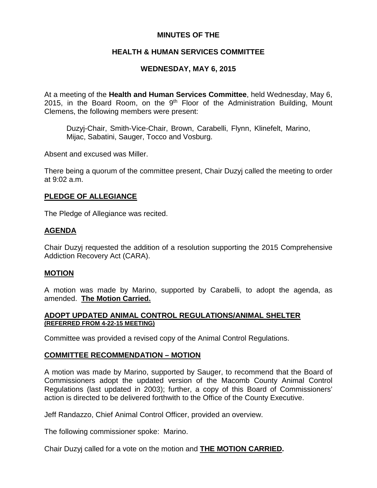# **MINUTES OF THE**

# **HEALTH & HUMAN SERVICES COMMITTEE**

# **WEDNESDAY, MAY 6, 2015**

At a meeting of the **Health and Human Services Committee**, held Wednesday, May 6, 2015, in the Board Room, on the  $9<sup>th</sup>$  Floor of the Administration Building, Mount Clemens, the following members were present:

Duzyj-Chair, Smith-Vice-Chair, Brown, Carabelli, Flynn, Klinefelt, Marino, Mijac, Sabatini, Sauger, Tocco and Vosburg.

Absent and excused was Miller.

There being a quorum of the committee present, Chair Duzyj called the meeting to order at 9:02 a.m.

# **PLEDGE OF ALLEGIANCE**

The Pledge of Allegiance was recited.

# **AGENDA**

Chair Duzyj requested the addition of a resolution supporting the 2015 Comprehensive Addiction Recovery Act (CARA).

## **MOTION**

A motion was made by Marino, supported by Carabelli, to adopt the agenda, as amended. **The Motion Carried.**

## **ADOPT UPDATED ANIMAL CONTROL REGULATIONS/ANIMAL SHELTER (REFERRED FROM 4-22-15 MEETING)**

Committee was provided a revised copy of the Animal Control Regulations.

# **COMMITTEE RECOMMENDATION – MOTION**

A motion was made by Marino, supported by Sauger, to recommend that the Board of Commissioners adopt the updated version of the Macomb County Animal Control Regulations (last updated in 2003); further, a copy of this Board of Commissioners' action is directed to be delivered forthwith to the Office of the County Executive.

Jeff Randazzo, Chief Animal Control Officer, provided an overview.

The following commissioner spoke: Marino.

Chair Duzyj called for a vote on the motion and **THE MOTION CARRIED.**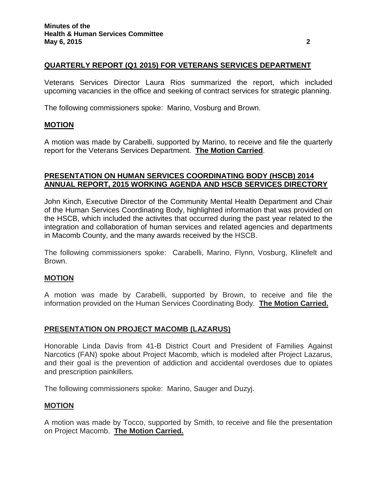## **QUARTERLY REPORT (Q1 2015) FOR VETERANS SERVICES DEPARTMENT**

Veterans Services Director Laura Rios summarized the report, which included upcoming vacancies in the office and seeking of contract services for strategic planning.

The following commissioners spoke: Marino, Vosburg and Brown.

## **MOTION**

A motion was made by Carabelli, supported by Marino, to receive and file the quarterly report for the Veterans Services Department. **The Motion Carried**.

## **PRESENTATION ON HUMAN SERVICES COORDINATING BODY (HSCB) 2014 ANNUAL REPORT, 2015 WORKING AGENDA AND HSCB SERVICES DIRECTORY**

John Kinch, Executive Director of the Community Mental Health Department and Chair of the Human Services Coordinating Body, highlighted information that was provided on the HSCB, which included the activites that occurred during the past year related to the integration and collaboration of human services and related agencies and departments in Macomb County, and the many awards received by the HSCB.

The following commissioners spoke: Carabelli, Marino, Flynn, Vosburg, Klinefelt and Brown.

## **MOTION**

A motion was made by Carabelli, supported by Brown, to receive and file the information provided on the Human Services Coordinating Body. **The Motion Carried.**

## **PRESENTATION ON PROJECT MACOMB (LAZARUS)**

Honorable Linda Davis from 41-B District Court and President of Families Against Narcotics (FAN) spoke about Project Macomb, which is modeled after Project Lazarus, and their goal is the prevention of addiction and accidental overdoses due to opiates and prescription painkillers.

The following commissioners spoke: Marino, Sauger and Duzyj.

#### **MOTION**

A motion was made by Tocco, supported by Smith, to receive and file the presentation on Project Macomb. **The Motion Carried.**